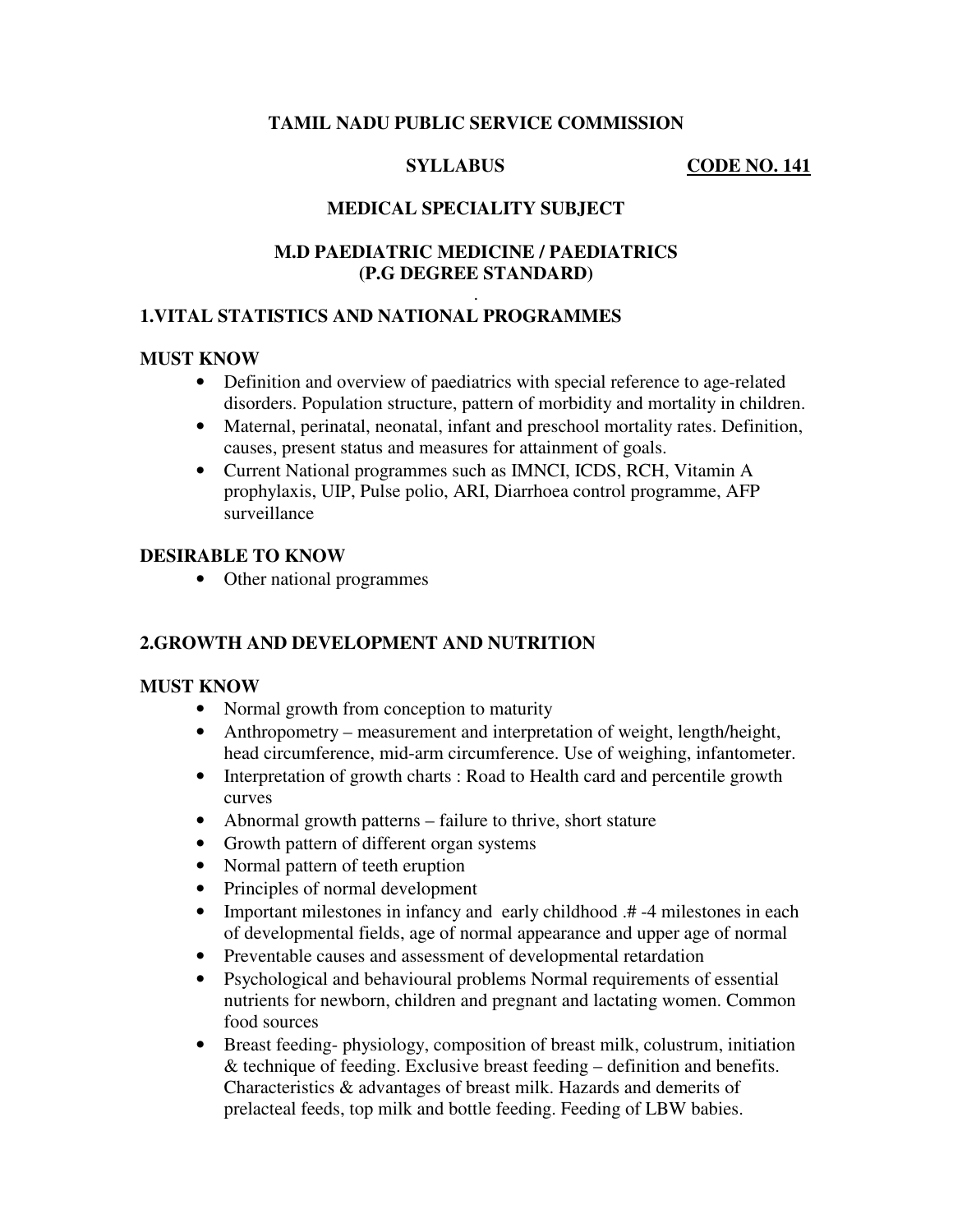# **TAMIL NADU PUBLIC SERVICE COMMISSION**

#### **SYLLABUS** CODE NO. 141

# **MEDICAL SPECIALITY SUBJECT**

# **M.D PAEDIATRIC MEDICINE / PAEDIATRICS (P.G DEGREE STANDARD)**

#### . **1.VITAL STATISTICS AND NATIONAL PROGRAMMES**

# **MUST KNOW**

- Definition and overview of paediatrics with special reference to age-related disorders. Population structure, pattern of morbidity and mortality in children.
- Maternal, perinatal, neonatal, infant and preschool mortality rates. Definition, causes, present status and measures for attainment of goals.
- Current National programmes such as IMNCI, ICDS, RCH, Vitamin A prophylaxis, UIP, Pulse polio, ARI, Diarrhoea control programme, AFP surveillance

#### **DESIRABLE TO KNOW**

• Other national programmes

# **2.GROWTH AND DEVELOPMENT AND NUTRITION**

#### **MUST KNOW**

- Normal growth from conception to maturity
- Anthropometry measurement and interpretation of weight, length/height, head circumference, mid-arm circumference. Use of weighing, infantometer.
- Interpretation of growth charts : Road to Health card and percentile growth curves
- Abnormal growth patterns failure to thrive, short stature
- Growth pattern of different organ systems
- Normal pattern of teeth eruption
- Principles of normal development
- Important milestones in infancy and early childhood .#44 milestones in each of developmental fields, age of normal appearance and upper age of normal
- Preventable causes and assessment of developmental retardation
- Psychological and behavioural problems Normal requirements of essential nutrients for newborn, children and pregnant and lactating women. Common food sources
- Breast feeding- physiology, composition of breast milk, colustrum, initiation & technique of feeding. Exclusive breast feeding – definition and benefits. Characteristics & advantages of breast milk. Hazards and demerits of prelacteal feeds, top milk and bottle feeding. Feeding of LBW babies.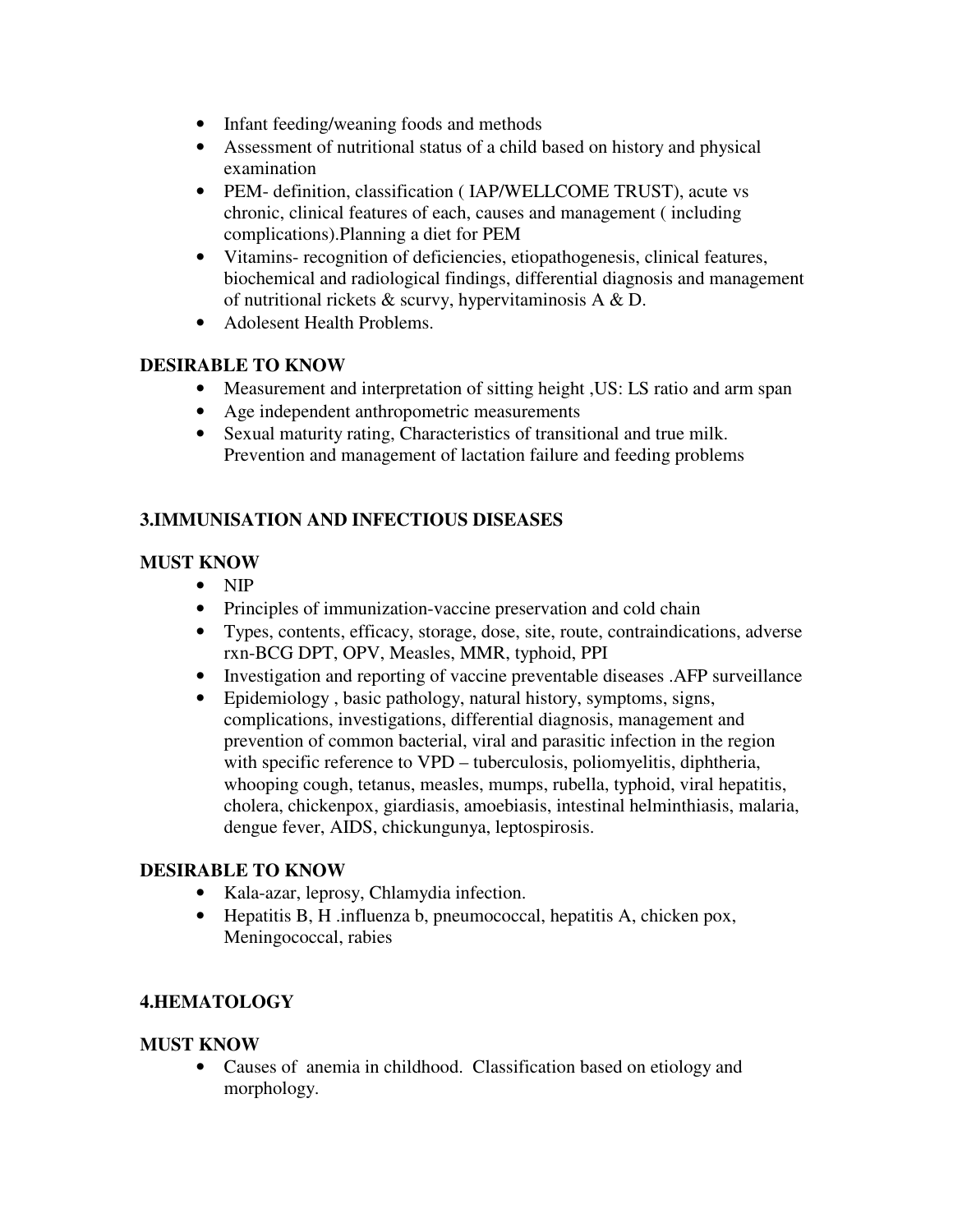- Infant feeding/weaning foods and methods
- Assessment of nutritional status of a child based on history and physical examination
- PEM- definition, classification ( IAP/WELLCOME TRUST), acute vs chronic, clinical features of each, causes and management ( including complications).Planning a diet for PEM
- Vitamins- recognition of deficiencies, etiopathogenesis, clinical features, biochemical and radiological findings, differential diagnosis and management of nutritional rickets & scurvy, hypervitaminosis A & D.
- Adolesent Health Problems.

# **DESIRABLE TO KNOW**

- Measurement and interpretation of sitting height , US: LS ratio and arm span
- Age independent anthropometric measurements
- Sexual maturity rating, Characteristics of transitional and true milk. Prevention and management of lactation failure and feeding problems

# **3.IMMUNISATION AND INFECTIOUS DISEASES**

# **MUST KNOW**

- NIP
- Principles of immunization-vaccine preservation and cold chain
- Types, contents, efficacy, storage, dose, site, route, contraindications, adverse rxn-BCG DPT, OPV, Measles, MMR, typhoid, PPI
- Investigation and reporting of vaccine preventable diseases .AFP surveillance
- Epidemiology , basic pathology, natural history, symptoms, signs, complications, investigations, differential diagnosis, management and prevention of common bacterial, viral and parasitic infection in the region with specific reference to VPD – tuberculosis, poliomyelitis, diphtheria, whooping cough, tetanus, measles, mumps, rubella, typhoid, viral hepatitis, cholera, chickenpox, giardiasis, amoebiasis, intestinal helminthiasis, malaria, dengue fever, AIDS, chickungunya, leptospirosis.

# **DESIRABLE TO KNOW**

- Kala-azar, leprosy, Chlamydia infection.
- Hepatitis B, H .influenza b, pneumococcal, hepatitis A, chicken pox, Meningococcal, rabies

# **4.HEMATOLOGY**

# **MUST KNOW**

• Causes of anemia in childhood. Classification based on etiology and morphology.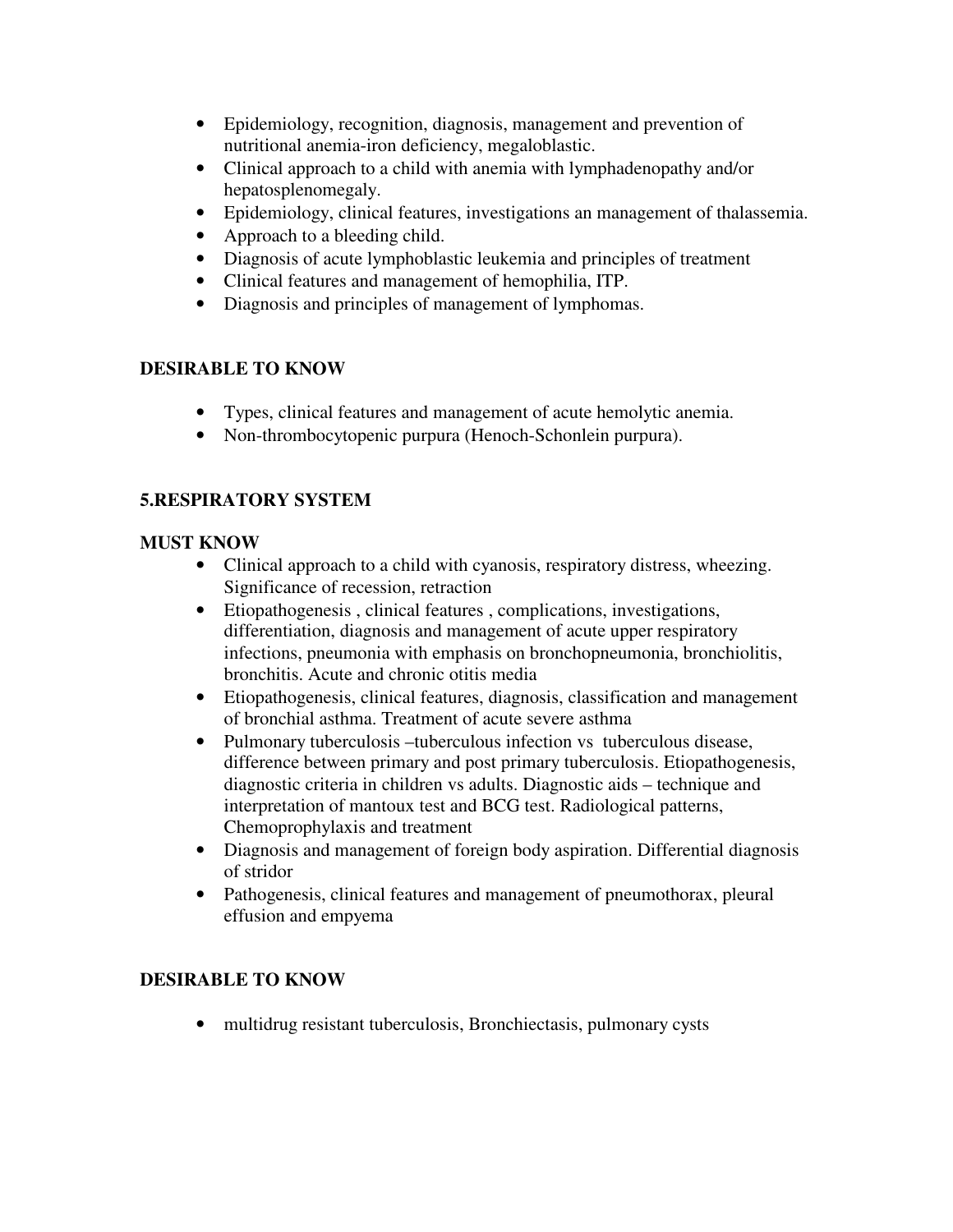- Epidemiology, recognition, diagnosis, management and prevention of nutritional anemia-iron deficiency, megaloblastic.
- Clinical approach to a child with anemia with lymphadenopathy and/or hepatosplenomegaly.
- Epidemiology, clinical features, investigations an management of thalassemia.
- Approach to a bleeding child.
- Diagnosis of acute lymphoblastic leukemia and principles of treatment
- Clinical features and management of hemophilia, ITP.
- Diagnosis and principles of management of lymphomas.

# **DESIRABLE TO KNOW**

- Types, clinical features and management of acute hemolytic anemia.
- Non-thrombocytopenic purpura (Henoch-Schonlein purpura).

# **5.RESPIRATORY SYSTEM**

# **MUST KNOW**

- Clinical approach to a child with cyanosis, respiratory distress, wheezing. Significance of recession, retraction
- Etiopathogenesis , clinical features , complications, investigations, differentiation, diagnosis and management of acute upper respiratory infections, pneumonia with emphasis on bronchopneumonia, bronchiolitis, bronchitis. Acute and chronic otitis media
- Etiopathogenesis, clinical features, diagnosis, classification and management of bronchial asthma. Treatment of acute severe asthma
- Pulmonary tuberculosis –tuberculous infection vs tuberculous disease, difference between primary and post primary tuberculosis. Etiopathogenesis, diagnostic criteria in children vs adults. Diagnostic aids – technique and interpretation of mantoux test and BCG test. Radiological patterns, Chemoprophylaxis and treatment
- Diagnosis and management of foreign body aspiration. Differential diagnosis of stridor
- Pathogenesis, clinical features and management of pneumothorax, pleural effusion and empyema

# **DESIRABLE TO KNOW**

• multidrug resistant tuberculosis, Bronchiectasis, pulmonary cysts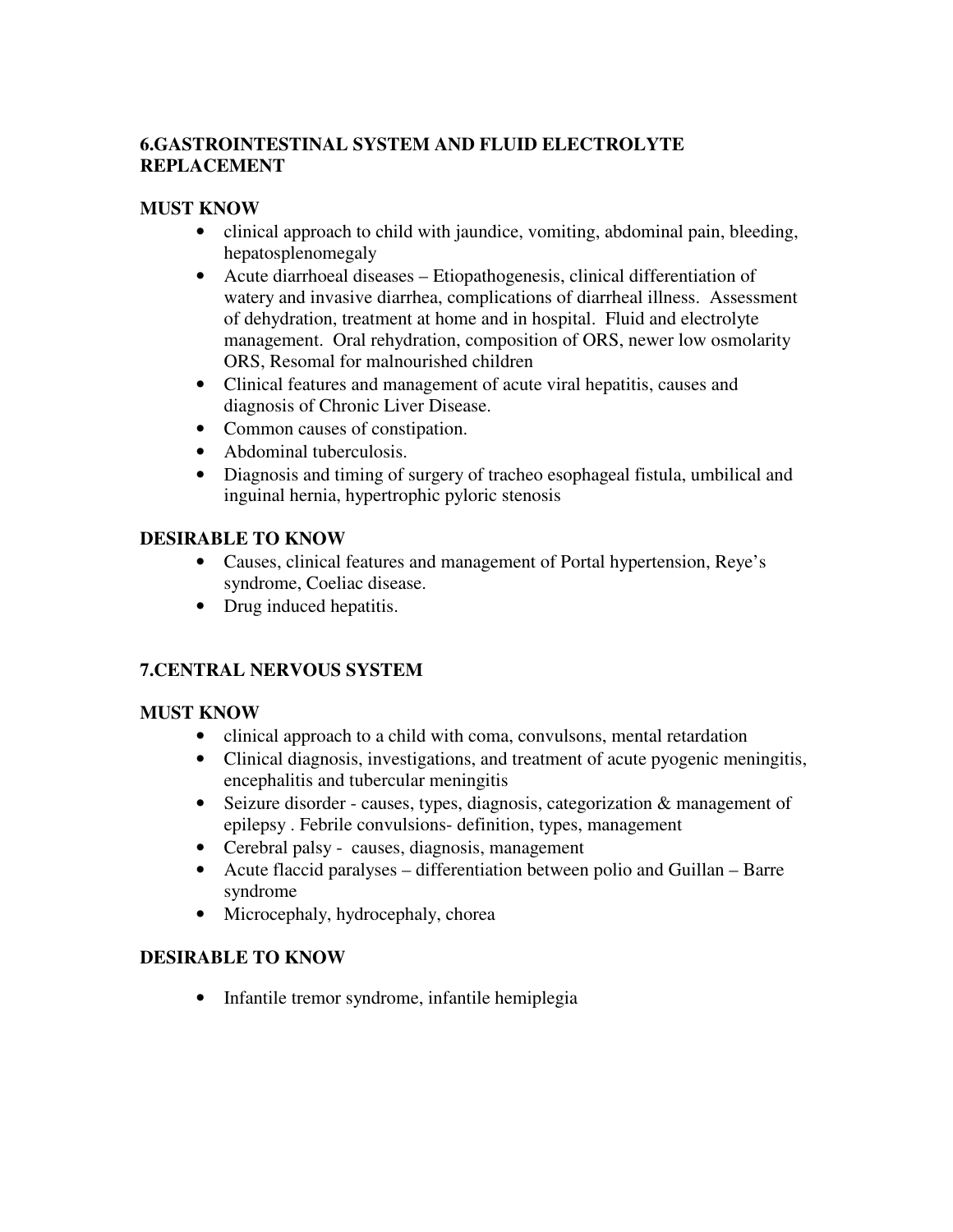# **6.GASTROINTESTINAL SYSTEM AND FLUID ELECTROLYTE REPLACEMENT**

# **MUST KNOW**

- clinical approach to child with jaundice, vomiting, abdominal pain, bleeding, hepatosplenomegaly
- Acute diarrhoeal diseases Etiopathogenesis, clinical differentiation of watery and invasive diarrhea, complications of diarrheal illness. Assessment of dehydration, treatment at home and in hospital. Fluid and electrolyte management. Oral rehydration, composition of ORS, newer low osmolarity ORS, Resomal for malnourished children
- Clinical features and management of acute viral hepatitis, causes and diagnosis of Chronic Liver Disease.
- Common causes of constipation.
- Abdominal tuberculosis.
- Diagnosis and timing of surgery of tracheo esophageal fistula, umbilical and inguinal hernia, hypertrophic pyloric stenosis

# **DESIRABLE TO KNOW**

- Causes, clinical features and management of Portal hypertension, Reye's syndrome, Coeliac disease.
- Drug induced hepatitis.

# **7.CENTRAL NERVOUS SYSTEM**

# **MUST KNOW**

- clinical approach to a child with coma, convulsons, mental retardation
- Clinical diagnosis, investigations, and treatment of acute pyogenic meningitis, encephalitis and tubercular meningitis
- Seizure disorder causes, types, diagnosis, categorization & management of epilepsy . Febrile convulsions- definition, types, management
- Cerebral palsy causes, diagnosis, management
- Acute flaccid paralyses differentiation between polio and Guillan Barre syndrome
- Microcephaly, hydrocephaly, chorea

# **DESIRABLE TO KNOW**

• Infantile tremor syndrome, infantile hemiplegia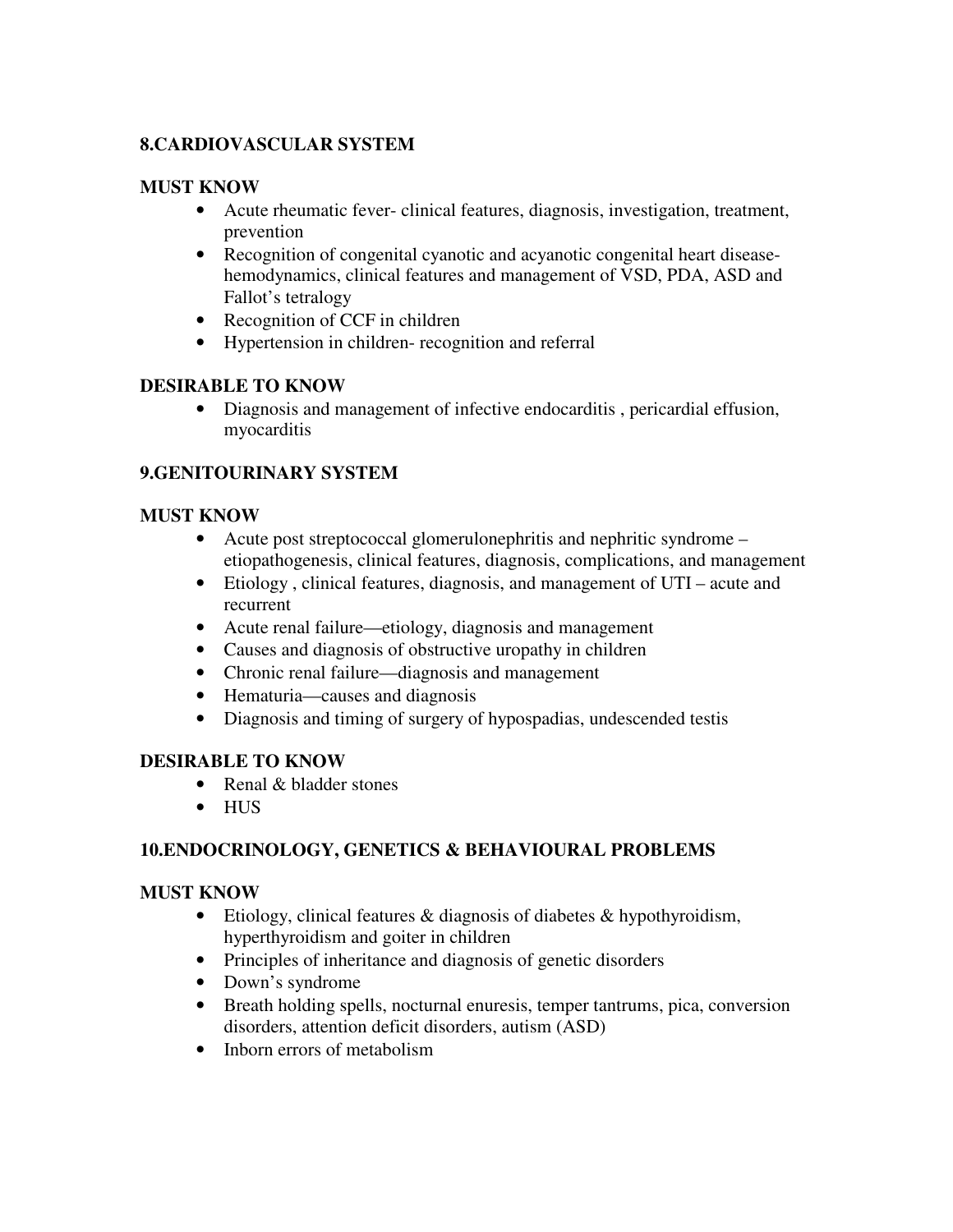# **8.CARDIOVASCULAR SYSTEM**

#### **MUST KNOW**

- Acute rheumatic fever- clinical features, diagnosis, investigation, treatment, prevention
- Recognition of congenital cyanotic and acyanotic congenital heart diseasehemodynamics, clinical features and management of VSD, PDA, ASD and Fallot's tetralogy
- Recognition of CCF in children
- Hypertension in children- recognition and referral

# **DESIRABLE TO KNOW**

• Diagnosis and management of infective endocarditis , pericardial effusion, myocarditis

# **9.GENITOURINARY SYSTEM**

#### **MUST KNOW**

- Acute post streptococcal glomerulonephritis and nephritic syndrome etiopathogenesis, clinical features, diagnosis, complications, and management
- Etiology , clinical features, diagnosis, and management of UTI acute and recurrent
- Acute renal failure—etiology, diagnosis and management
- Causes and diagnosis of obstructive uropathy in children
- Chronic renal failure—diagnosis and management
- Hematuria—causes and diagnosis
- Diagnosis and timing of surgery of hypospadias, undescended testis

# **DESIRABLE TO KNOW**

- Renal & bladder stones
- HUS

# **10.ENDOCRINOLOGY, GENETICS & BEHAVIOURAL PROBLEMS**

# **MUST KNOW**

- Etiology, clinical features & diagnosis of diabetes & hypothyroidism, hyperthyroidism and goiter in children
- Principles of inheritance and diagnosis of genetic disorders
- Down's syndrome
- Breath holding spells, nocturnal enuresis, temper tantrums, pica, conversion disorders, attention deficit disorders, autism (ASD)
- Inborn errors of metabolism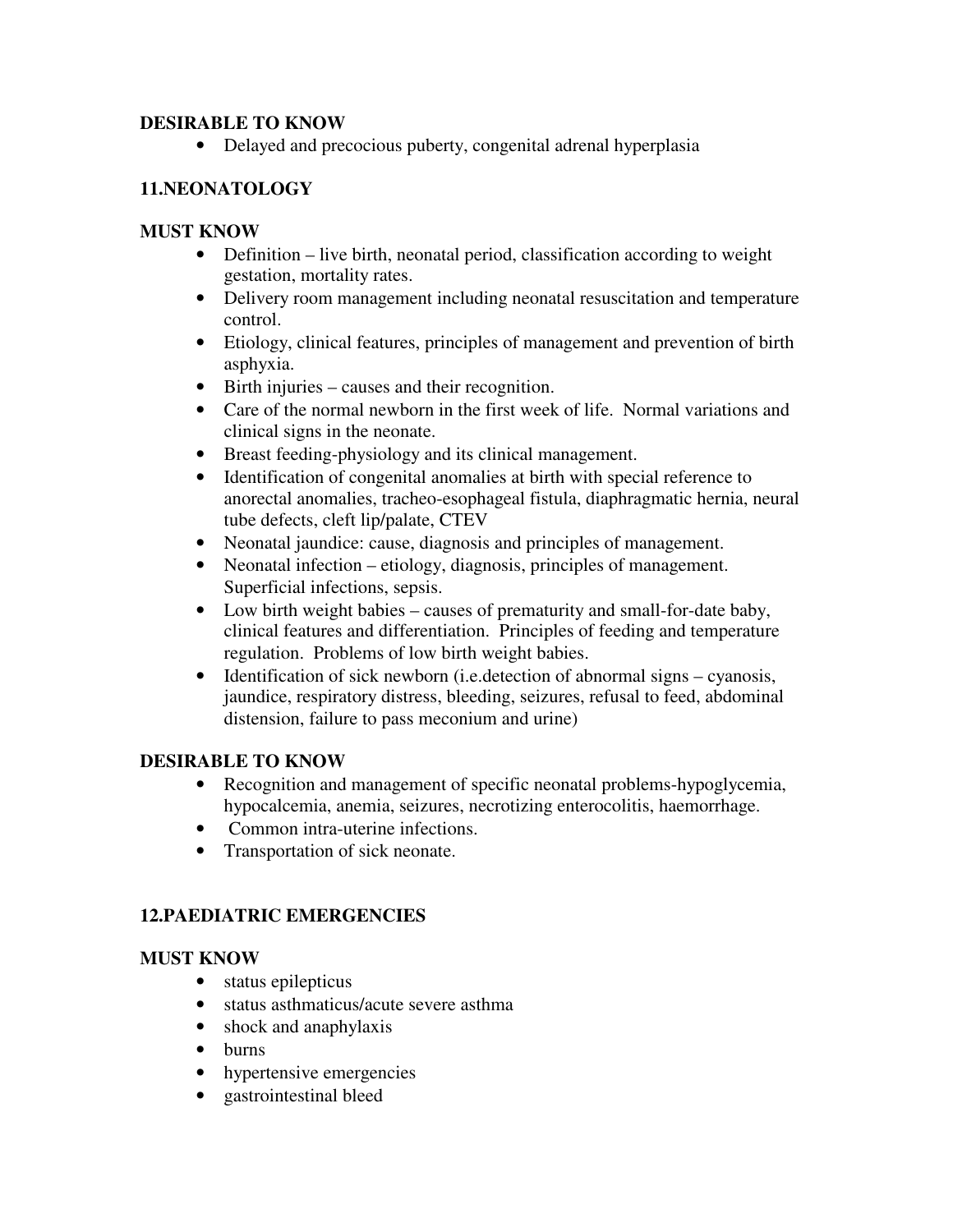# **DESIRABLE TO KNOW**

• Delayed and precocious puberty, congenital adrenal hyperplasia

# **11.NEONATOLOGY**

# **MUST KNOW**

- Definition live birth, neonatal period, classification according to weight gestation, mortality rates.
- Delivery room management including neonatal resuscitation and temperature control.
- Etiology, clinical features, principles of management and prevention of birth asphyxia.
- Birth injuries causes and their recognition.
- Care of the normal newborn in the first week of life. Normal variations and clinical signs in the neonate.
- Breast feeding-physiology and its clinical management.
- Identification of congenital anomalies at birth with special reference to anorectal anomalies, tracheo-esophageal fistula, diaphragmatic hernia, neural tube defects, cleft lip/palate, CTEV
- Neonatal jaundice: cause, diagnosis and principles of management.
- Neonatal infection etiology, diagnosis, principles of management. Superficial infections, sepsis.
- Low birth weight babies causes of prematurity and small-for-date baby, clinical features and differentiation. Principles of feeding and temperature regulation. Problems of low birth weight babies.
- Identification of sick newborn (i.e. detection of abnormal signs cyanosis, jaundice, respiratory distress, bleeding, seizures, refusal to feed, abdominal distension, failure to pass meconium and urine)

# **DESIRABLE TO KNOW**

- Recognition and management of specific neonatal problems-hypoglycemia, hypocalcemia, anemia, seizures, necrotizing enterocolitis, haemorrhage.
- Common intra-uterine infections.
- Transportation of sick neonate.

# **12.PAEDIATRIC EMERGENCIES**

# **MUST KNOW**

- status epilepticus
- status asthmaticus/acute severe asthma
- shock and anaphylaxis
- burns
- hypertensive emergencies
- gastrointestinal bleed